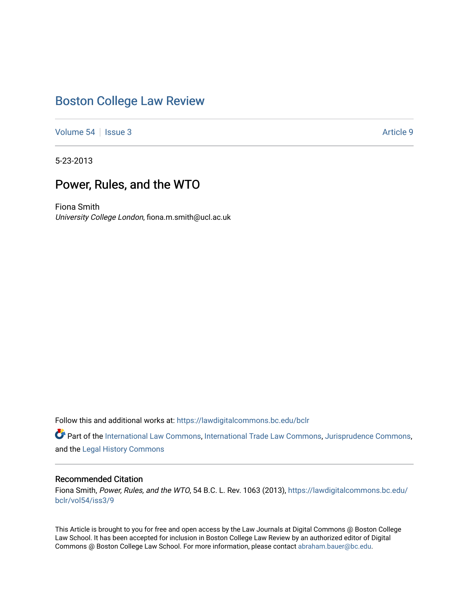# [Boston College Law Review](https://lawdigitalcommons.bc.edu/bclr)

[Volume 54](https://lawdigitalcommons.bc.edu/bclr/vol54) Session 3 Article 9

5-23-2013

## Power, Rules, and the WTO

Fiona Smith University College London, fiona.m.smith@ucl.ac.uk

Follow this and additional works at: [https://lawdigitalcommons.bc.edu/bclr](https://lawdigitalcommons.bc.edu/bclr?utm_source=lawdigitalcommons.bc.edu%2Fbclr%2Fvol54%2Fiss3%2F9&utm_medium=PDF&utm_campaign=PDFCoverPages) 

Part of the [International Law Commons,](http://network.bepress.com/hgg/discipline/609?utm_source=lawdigitalcommons.bc.edu%2Fbclr%2Fvol54%2Fiss3%2F9&utm_medium=PDF&utm_campaign=PDFCoverPages) [International Trade Law Commons,](http://network.bepress.com/hgg/discipline/848?utm_source=lawdigitalcommons.bc.edu%2Fbclr%2Fvol54%2Fiss3%2F9&utm_medium=PDF&utm_campaign=PDFCoverPages) [Jurisprudence Commons](http://network.bepress.com/hgg/discipline/610?utm_source=lawdigitalcommons.bc.edu%2Fbclr%2Fvol54%2Fiss3%2F9&utm_medium=PDF&utm_campaign=PDFCoverPages), and the [Legal History Commons](http://network.bepress.com/hgg/discipline/904?utm_source=lawdigitalcommons.bc.edu%2Fbclr%2Fvol54%2Fiss3%2F9&utm_medium=PDF&utm_campaign=PDFCoverPages) 

## Recommended Citation

Fiona Smith, Power, Rules, and the WTO, 54 B.C. L. Rev. 1063 (2013), [https://lawdigitalcommons.bc.edu/](https://lawdigitalcommons.bc.edu/bclr/vol54/iss3/9?utm_source=lawdigitalcommons.bc.edu%2Fbclr%2Fvol54%2Fiss3%2F9&utm_medium=PDF&utm_campaign=PDFCoverPages) [bclr/vol54/iss3/9](https://lawdigitalcommons.bc.edu/bclr/vol54/iss3/9?utm_source=lawdigitalcommons.bc.edu%2Fbclr%2Fvol54%2Fiss3%2F9&utm_medium=PDF&utm_campaign=PDFCoverPages)

This Article is brought to you for free and open access by the Law Journals at Digital Commons @ Boston College Law School. It has been accepted for inclusion in Boston College Law Review by an authorized editor of Digital Commons @ Boston College Law School. For more information, please contact [abraham.bauer@bc.edu.](mailto:abraham.bauer@bc.edu)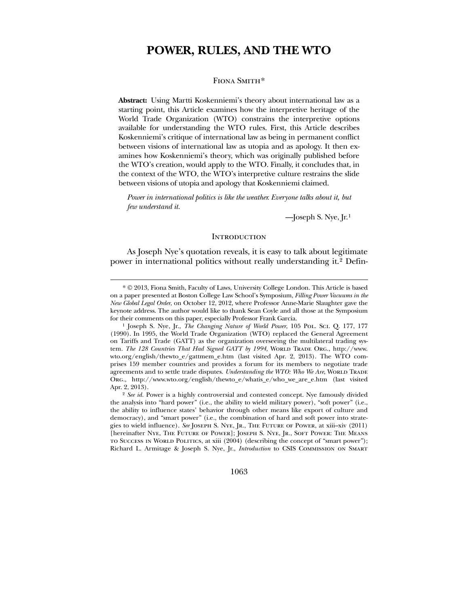## **POWER, RULES, AND THE WTO**

FIONA SMITH[\\*](#page-1-0)

**Abstract:** Using Martti Koskenniemi's theory about international law as a starting point, this Article examines how the interpretive heritage of the World Trade Organization (WTO) constrains the interpretive options available for understanding the WTO rules. First, this Article describes Koskenniemi's critique of international law as being in permanent conflict between visions of international law as utopia and as apology. It then examines how Koskenniemi's theory, which was originally published before the WTO's creation, would apply to the WTO. Finally, it concludes that, in the context of the WTO, the WTO's interpretive culture restrains the slide between visions of utopia and apology that Koskenniemi claimed.

*Power in international politics is like the weather. Everyone talks about it, but few understand it.*

 $-$ Joseph S. Nye, Jr.<sup>[1](#page-1-1)</sup>

#### **INTRODUCTION**

 As Joseph Nye's quotation reveals, it is easy to talk about legitimate power in international politics without really understanding it.[2](#page-1-2) Defin-

 $\overline{a}$ 

1063

<sup>\*</sup> © 2013, Fiona Smith, Faculty of Laws, University College London. This Article is based on a paper presented at Boston College Law School's Symposium, *Filling Power Vacuums in the New Global Legal Order*, on October 12, 2012, where Professor Anne-Marie Slaughter gave the keynote address. The author would like to thank Sean Coyle and all those at the Symposium for their comments on this paper, especially Professor Frank Garcia.

<sup>1</sup> Joseph S. Nye, Jr., *The Changing Nature of World Power*, 105 Pol. Sci. Q. 177, 177 (1990). In 1995, the World Trade Organization (WTO) replaced the General Agreement on Tariffs and Trade (GATT) as the organization overseeing the multilateral trading system. *The 128 Countries That Had Signed GATT by 1994*, WORLD TRADE ORG., http://www. wto.org/english/thewto\_e/gattmem\_e.htm (last visited Apr. 2, 2013). The WTO comprises 159 member countries and provides a forum for its members to negotiate trade agreements and to settle trade disputes. *Understanding the WTO: Who We Are*, WORLD TRADE Org., http://www.wto.org/english/thewto\_e/whatis\_e/who\_we\_are\_e.htm (last visited Apr. 2, 2013).

<span id="page-1-2"></span><span id="page-1-1"></span><span id="page-1-0"></span><sup>2</sup> *See id.* Power is a highly controversial and contested concept. Nye famously divided the analysis into "hard power" (i.e., the ability to wield military power), "soft power" (i.e., the ability to influence states' behavior through other means like export of culture and democracy), and "smart power" (i.e., the combination of hard and soft power into strategies to wield influence). *See* Joseph S. Nye, Jr., The Future of Power, at xiii–xiv (2011) [hereinafter Nye, The Future of Power]; Joseph S. Nye, Jr., Soft Power: The Means to Success in World Politics, at xiii (2004) (describing the concept of "smart power"); Richard L. Armitage & Joseph S. Nye, Jr., *Introduction* to CSIS Commission on Smart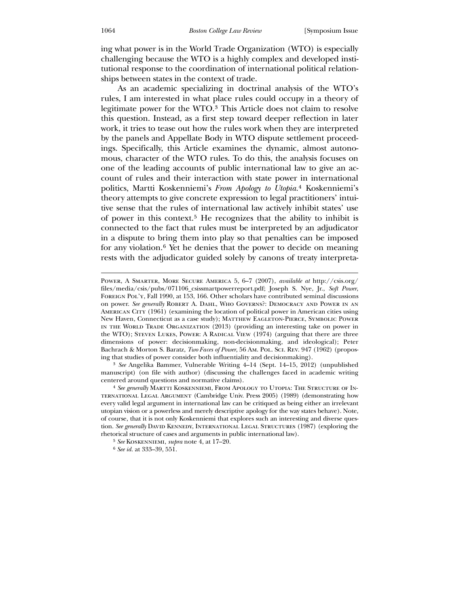ing what power is in the World Trade Organization (WTO) is especially challenging because the WTO is a highly complex and developed institutional response to the coordination of international political relationships between states in the context of trade.

 As an academic specializing in doctrinal analysis of the WTO's rules, I am interested in what place rules could occupy in a theory of legitimate power for the WTO.[3](#page-2-0) This Article does not claim to resolve this question. Instead, as a first step toward deeper reflection in later work, it tries to tease out how the rules work when they are interpreted by the panels and Appellate Body in WTO dispute settlement proceedings. Specifically, this Article examines the dynamic, almost autonomous, character of the WTO rules. To do this, the analysis focuses on one of the leading accounts of public international law to give an account of rules and their interaction with state power in international politics, Martti Koskenniemi's *From Apology to Utopia.*[4](#page-2-1) Koskenniemi's theory attempts to give concrete expression to legal practitioners' intuitive sense that the rules of international law actively inhibit states' use of power in this context.[5](#page-2-2) He recognizes that the ability to inhibit is connected to the fact that rules must be interpreted by an adjudicator in a dispute to bring them into play so that penalties can be imposed for any violation.[6](#page-2-3) Yet he denies that the power to decide on meaning rests with the adjudicator guided solely by canons of treaty interpreta-

3 *See* Angelika Bammer, Vulnerable Writing 4–14 (Sept. 14–15, 2012) (unpublished manuscript) (on file with author) (discussing the challenges faced in academic writing centered around questions and normative claims).

Power, A Smarter, More Secure America 5, 6–7 (2007), *available at* http://csis.org/ files/media/csis/pubs/071106\_csissmartpowerreport.pdf; Joseph S. Nye, Jr., *Soft Power*, FOREIGN POL'Y, Fall 1990, at 153, 166. Other scholars have contributed seminal discussions on power. *See generally* Robert A. Dahl, Who Governs?: Democracy and Power in an American City (1961) (examining the location of political power in American cities using New Haven, Connecticut as a case study); Matthew Eagleton-Pierce, Symbolic Power in the World Trade Organization (2013) (providing an interesting take on power in the WTO); Steven Lukes, Power: A Radical View (1974) (arguing that there are three dimensions of power: decisionmaking, non-decisionmaking, and ideological); Peter Bachrach & Morton S. Baratz, *Two Faces of Power*, 56 Am. Pol. Sci. Rev. 947 (1962) (proposing that studies of power consider both influentiality and decisionmaking).

<sup>4</sup> *See generally* Martti Koskenniemi, From Apology to Utopia: The Structure of International Legal Argument (Cambridge Univ. Press 2005) (1989) (demonstrating how every valid legal argument in international law can be critiqued as being either an irrelevant utopian vision or a powerless and merely descriptive apology for the way states behave). Note, of course, that it is not only Koskenniemi that explores such an interesting and diverse question. *See generally* DAVID KENNEDY, INTERNATIONAL LEGAL STRUCTURES (1987) (exploring the rhetorical structure of cases and arguments in public international law).

<sup>5</sup> *See* Koskenniemi, *supra* note 4, at 17–20.

<span id="page-2-3"></span><span id="page-2-2"></span><span id="page-2-1"></span><span id="page-2-0"></span><sup>6</sup> *See id.* at 333–39, 551.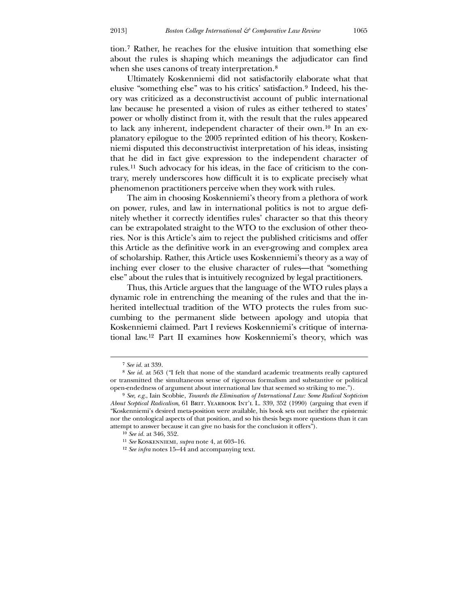tion.[7](#page-3-0) Rather, he reaches for the elusive intuition that something else about the rules is shaping which meanings the adjudicator can find when she uses canons of treaty interpretation.<sup>[8](#page-3-1)</sup>

 Ultimately Koskenniemi did not satisfactorily elaborate what that elusive "something else" was to his critics' satisfaction.[9](#page-3-2) Indeed, his theory was criticized as a deconstructivist account of public international law because he presented a vision of rules as either tethered to states' power or wholly distinct from it, with the result that the rules appeared to lack any inherent, independent character of their own.[10](#page-3-3) In an explanatory epilogue to the 2005 reprinted edition of his theory, Koskenniemi disputed this deconstructivist interpretation of his ideas, insisting that he did in fact give expression to the independent character of rules.[11](#page-3-4) Such advocacy for his ideas, in the face of criticism to the contrary, merely underscores how difficult it is to explicate precisely what phenomenon practitioners perceive when they work with rules.

 The aim in choosing Koskenniemi's theory from a plethora of work on power, rules, and law in international politics is not to argue definitely whether it correctly identifies rules' character so that this theory can be extrapolated straight to the WTO to the exclusion of other theories. Nor is this Article's aim to reject the published criticisms and offer this Article as the definitive work in an ever-growing and complex area of scholarship. Rather, this Article uses Koskenniemi's theory as a way of inching ever closer to the elusive character of rules—that "something else" about the rules that is intuitively recognized by legal practitioners.

 Thus, this Article argues that the language of the WTO rules plays a dynamic role in entrenching the meaning of the rules and that the inherited intellectual tradition of the WTO protects the rules from succumbing to the permanent slide between apology and utopia that Koskenniemi claimed. Part I reviews Koskenniemi's critique of international law.[12](#page-3-5) Part II examines how Koskenniemi's theory, which was

<sup>7</sup> *See id.* at 339.

<sup>8</sup> *See id.* at 563 ("I felt that none of the standard academic treatments really captured or transmitted the simultaneous sense of rigorous formalism and substantive or political open-endedness of argument about international law that seemed so striking to me.").

<sup>9</sup> *See, e.g.*, Iain Scobbie, *Towards the Elimination of International Law: Some Radical Scepticism About Sceptical Radicalism*, 61 BRIT. YEARBOOK INT'L L. 339, 352 (1990) (arguing that even if "Koskenniemi's desired meta-position were available, his book sets out neither the epistemic nor the ontological aspects of that position, and so his thesis begs more questions than it can attempt to answer because it can give no basis for the conclusion it offers").

<sup>10</sup> *See id.* at 346, 352.

<sup>11</sup> *See* Koskenniemi, *supra* note 4, at 603–16.

<span id="page-3-5"></span><span id="page-3-4"></span><span id="page-3-3"></span><span id="page-3-2"></span><span id="page-3-1"></span><span id="page-3-0"></span><sup>12</sup> *See infra* notes 15–44 and accompanying text.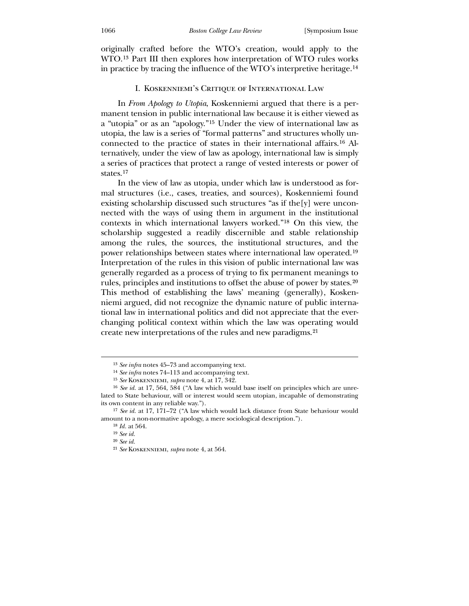originally crafted before the WTO's creation, would apply to the WTO.[13](#page-4-0) Part III then explores how interpretation of WTO rules works in practice by tracing the influence of the WTO's interpretive heritage.[14](#page-4-1)

### I. Koskenniemi's Critique of International Law

 In *From Apology to Utopia*, Koskenniemi argued that there is a permanent tension in public international law because it is either viewed as a "utopia" or as an "apology."[15](#page-4-2) Under the view of international law as utopia, the law is a series of "formal patterns" and structures wholly unconnected to the practice of states in their international affairs.[16](#page-4-3) Alternatively, under the view of law as apology, international law is simply a series of practices that protect a range of vested interests or power of states.[17](#page-4-4)

 In the view of law as utopia, under which law is understood as formal structures (i.e., cases, treaties, and sources), Koskenniemi found existing scholarship discussed such structures "as if the[y] were unconnected with the ways of using them in argument in the institutional contexts in which international lawyers worked."[18](#page-4-5) On this view, the scholarship suggested a readily discernible and stable relationship among the rules, the sources, the institutional structures, and the power relationships between states where international law operated.[19](#page-4-6) Interpretation of the rules in this vision of public international law was generally regarded as a process of trying to fix permanent meanings to rules, principles and institutions to offset the abuse of power by states.[20](#page-4-7) This method of establishing the laws' meaning (generally), Koskenniemi argued, did not recognize the dynamic nature of public international law in international politics and did not appreciate that the everchanging political context within which the law was operating would create new interpretations of the rules and new paradigms.[21](#page-4-8)

<sup>13</sup> *See infra* notes 45–73 and accompanying text.

<sup>14</sup> *See infra* notes 74–113 and accompanying text.

<sup>15</sup> *See* Koskenniemi, *supra* note 4, at 17, 342.

<sup>16</sup> *See id.* at 17, 564, 584 ("A law which would base itself on principles which are unrelated to State behaviour, will or interest would seem utopian, incapable of demonstrating its own content in any reliable way.").

<sup>17</sup> *See id.* at 17, 171–72 ("A law which would lack distance from State behaviour would amount to a non-normative apology, a mere sociological description.").

<sup>18</sup> *Id.* at 564.

<sup>19</sup> *See id.* 20 *See id.*

<span id="page-4-8"></span><span id="page-4-7"></span><span id="page-4-6"></span><span id="page-4-5"></span><span id="page-4-4"></span><span id="page-4-3"></span><span id="page-4-2"></span><span id="page-4-1"></span><span id="page-4-0"></span><sup>21</sup> *See* Koskenniemi, *supra* note 4, at 564.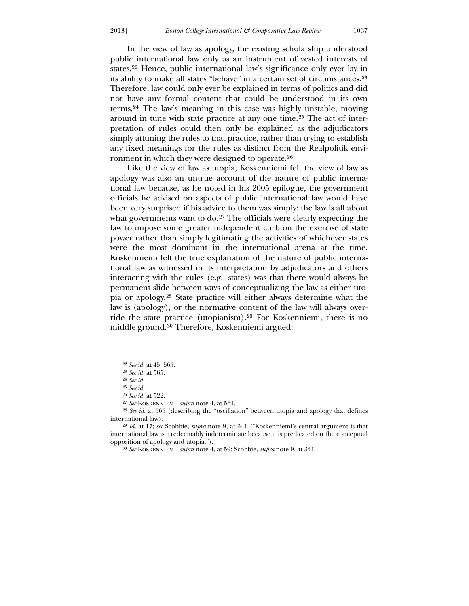In the view of law as apology, the existing scholarship understood public international law only as an instrument of vested interests of states.[22](#page-5-0) Hence, public international law's significance only ever lay in its ability to make all states "behave" in a certain set of circumstances.[23](#page-5-1) Therefore, law could only ever be explained in terms of politics and did not have any formal content that could be understood in its own terms.[24](#page-5-2) The law's meaning in this case was highly unstable, moving around in tune with state practice at any one time.[25](#page-5-3) The act of interpretation of rules could then only be explained as the adjudicators simply attuning the rules to that practice, rather than trying to establish any fixed meanings for the rules as distinct from the Realpolitik environment in which they were designed to operate.[26](#page-5-4)

 Like the view of law as utopia, Koskenniemi felt the view of law as apology was also an untrue account of the nature of public international law because, as he noted in his 2005 epilogue, the government officials he advised on aspects of public international law would have been very surprised if his advice to them was simply: the law is all about what governments want to do.<sup>[27](#page-5-5)</sup> The officials were clearly expecting the law to impose some greater independent curb on the exercise of state power rather than simply legitimating the activities of whichever states were the most dominant in the international arena at the time. Koskenniemi felt the true explanation of the nature of public international law as witnessed in its interpretation by adjudicators and others interacting with the rules (e.g., states) was that there would always be permanent slide between ways of conceptualizing the law as either utopia or apology.[28](#page-5-6) State practice will either always determine what the law is (apology), or the normative content of the law will always override the state practice (utopianism).[29](#page-5-7) For Koskenniemi, there is no middle ground.[30](#page-5-8) Therefore, Koskenniemi argued:

<u>.</u>

<sup>22</sup> *See id.* at 45, 565.

<sup>23</sup> *See id.* at 565.

<sup>24</sup> *See id.*

<sup>25</sup> *See id.*

<sup>26</sup> *See id.* at 522.

<sup>27</sup> *See* Koskenniemi, *supra* note 4, at 564.

<sup>28</sup> *See id.* at 565 (describing the "oscillation" between utopia and apology that defines international law).

<span id="page-5-4"></span><span id="page-5-3"></span><span id="page-5-2"></span><span id="page-5-1"></span><span id="page-5-0"></span><sup>29</sup> *Id.* at 17; *see* Scobbie, *supra* note 9, at 341 ("Koskenniemi's central argument is that international law is irredeemably indeterminate because it is predicated on the conceptual opposition of apology and utopia.").

<span id="page-5-8"></span><span id="page-5-7"></span><span id="page-5-6"></span><span id="page-5-5"></span><sup>30</sup> *See* Koskenniemi, *supra* note 4, at 59; Scobbie, *supra* note 9, at 341.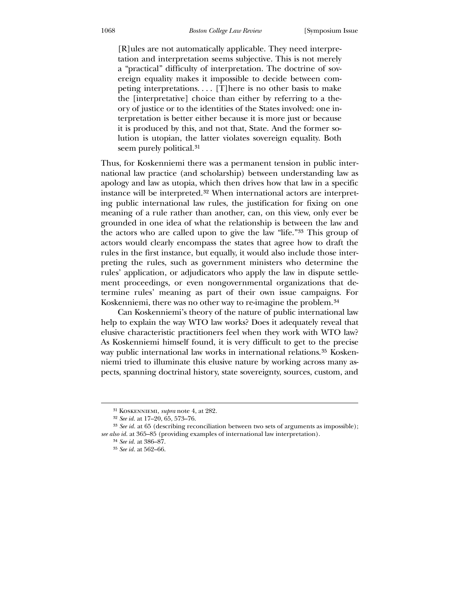[R]ules are not automatically applicable. They need interpretation and interpretation seems subjective. This is not merely a "practical" difficulty of interpretation. The doctrine of sovereign equality makes it impossible to decide between competing interpretations. . . . [T]here is no other basis to make the [interpretative] choice than either by referring to a theory of justice or to the identities of the States involved: one interpretation is better either because it is more just or because it is produced by this, and not that, State. And the former solution is utopian, the latter violates sovereign equality. Both seem purely political.<sup>[31](#page-6-0)</sup>

Thus, for Koskenniemi there was a permanent tension in public international law practice (and scholarship) between understanding law as apology and law as utopia, which then drives how that law in a specific instance will be interpreted.[32](#page-6-1) When international actors are interpreting public international law rules, the justification for fixing on one meaning of a rule rather than another, can, on this view, only ever be grounded in one idea of what the relationship is between the law and the actors who are called upon to give the law "life."[33](#page-6-2) This group of actors would clearly encompass the states that agree how to draft the rules in the first instance, but equally, it would also include those interpreting the rules, such as government ministers who determine the rules' application, or adjudicators who apply the law in dispute settlement proceedings, or even nongovernmental organizations that determine rules' meaning as part of their own issue campaigns. For Koskenniemi, there was no other way to re-imagine the problem.<sup>[34](#page-6-3)</sup>

 Can Koskenniemi's theory of the nature of public international law help to explain the way WTO law works? Does it adequately reveal that elusive characteristic practitioners feel when they work with WTO law? As Koskenniemi himself found, it is very difficult to get to the precise way public international law works in international relations.<sup>[35](#page-6-4)</sup> Koskenniemi tried to illuminate this elusive nature by working across many aspects, spanning doctrinal history, state sovereignty, sources, custom, and

<sup>31</sup> Koskenniemi, *supra* note 4, at 282.

<sup>32</sup> *See id.* at 17–20, 65, 573–76.

<sup>33</sup> *See id.* at 65 (describing reconciliation between two sets of arguments as impossible); *see also id.* at 365–85 (providing examples of international law interpretation).

<sup>34</sup> *See id.* at 386–87.

<span id="page-6-4"></span><span id="page-6-3"></span><span id="page-6-2"></span><span id="page-6-1"></span><span id="page-6-0"></span><sup>35</sup> *See id.* at 562–66.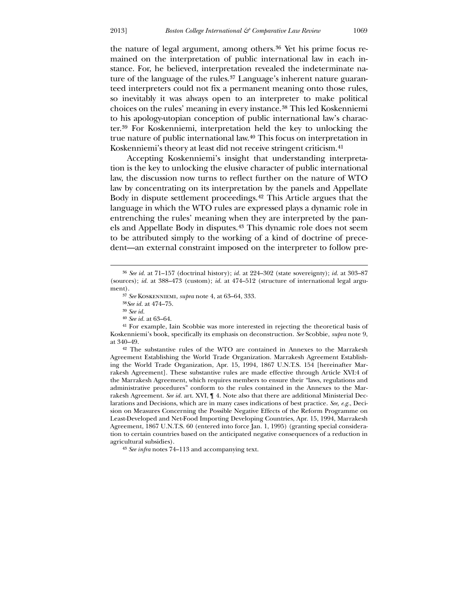the nature of legal argument, among others.<sup>[36](#page-7-0)</sup> Yet his prime focus remained on the interpretation of public international law in each instance. For, he believed, interpretation revealed the indeterminate na-ture of the language of the rules.<sup>[37](#page-7-1)</sup> Language's inherent nature guaranteed interpreters could not fix a permanent meaning onto those rules, so inevitably it was always open to an interpreter to make political choices on the rules' meaning in every instance.[38](#page-7-2) This led Koskenniemi to his apology-utopian conception of public international law's character.[39](#page-7-3) For Koskenniemi, interpretation held the key to unlocking the true nature of public international law.[40](#page-7-4) This focus on interpretation in Koskenniemi's theory at least did not receive stringent criticism.<sup>[41](#page-7-5)</sup>

 Accepting Koskenniemi's insight that understanding interpretation is the key to unlocking the elusive character of public international law, the discussion now turns to reflect further on the nature of WTO law by concentrating on its interpretation by the panels and Appellate Body in dispute settlement proceedings.[42](#page-7-6) This Article argues that the language in which the WTO rules are expressed plays a dynamic role in entrenching the rules' meaning when they are interpreted by the panels and Appellate Body in disputes.[43](#page-7-7) This dynamic role does not seem to be attributed simply to the working of a kind of doctrine of precedent—an external constraint imposed on the interpreter to follow pre-

 $\overline{a}$ 

<span id="page-7-1"></span><span id="page-7-0"></span>42 The substantive rules of the WTO are contained in Annexes to the Marrakesh Agreement Establishing the World Trade Organization. Marrakesh Agreement Establishing the World Trade Organization, Apr. 15, 1994, 1867 U.N.T.S. 154 [hereinafter Marrakesh Agreement]. These substantive rules are made effective through Article XVI:4 of the Marrakesh Agreement, which requires members to ensure their "laws, regulations and administrative procedures" conform to the rules contained in the Annexes to the Marrakesh Agreement. *See id.* art. XVI, ¶ 4. Note also that there are additional Ministerial Declarations and Decisions, which are in many cases indications of best practice. *See, e.g.*, Decision on Measures Concerning the Possible Negative Effects of the Reform Programme on Least-Developed and Net-Food Importing Developing Countries, Apr. 15, 1994, Marrakesh Agreement, 1867 U.N.T.S. 60 (entered into force Jan. 1, 1995) (granting special consideration to certain countries based on the anticipated negative consequences of a reduction in agricultural subsidies).

<sup>36</sup> *See id.* at 71–157 (doctrinal history); *id.* at 224–302 (state sovereignty); *id.* at 303–87 (sources); *id.* at 388–473 (custom); *id.* at 474–512 (structure of international legal argument).

<sup>37</sup> *See* Koskenniemi, *supra* note 4, at 63–64, 333.

<sup>38</sup>*See id.* at 474–75.

<sup>39</sup> *See id.*

<sup>40</sup> *See id.* at 63–64.

<sup>41</sup> For example, Iain Scobbie was more interested in rejecting the theoretical basis of Koskenniemi's book, specifically its emphasis on deconstruction. *See* Scobbie, *supra* note 9, at 340–49.

<span id="page-7-7"></span><span id="page-7-6"></span><span id="page-7-5"></span><span id="page-7-4"></span><span id="page-7-3"></span><span id="page-7-2"></span><sup>43</sup> *See infra* notes 74–113 and accompanying text.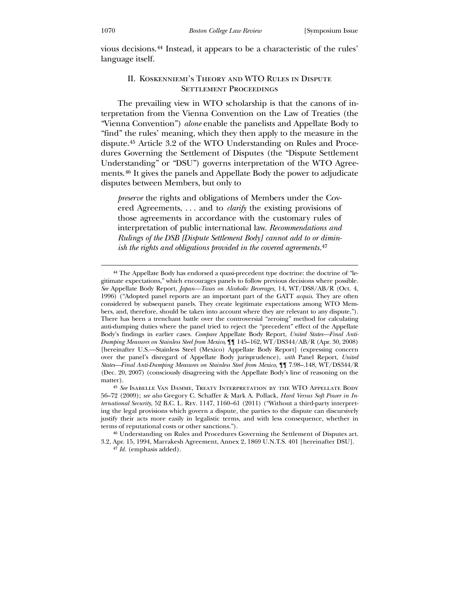vious decisions.[44](#page-8-0) Instead, it appears to be a characteristic of the rules' language itself.

## II. Koskenniemi's Theory and WTO Rules in Dispute SETTLEMENT PROCEEDINGS

 The prevailing view in WTO scholarship is that the canons of interpretation from the Vienna Convention on the Law of Treaties (the "Vienna Convention") *alone* enable the panelists and Appellate Body to "find" the rules' meaning, which they then apply to the measure in the dispute.[45](#page-8-1) Article 3.2 of the WTO Understanding on Rules and Procedures Governing the Settlement of Disputes (the "Dispute Settlement Understanding" or "DSU") governs interpretation of the WTO Agreements.[46](#page-8-2) It gives the panels and Appellate Body the power to adjudicate disputes between Members, but only to

*preserve* the rights and obligations of Members under the Covered Agreements, . . . and to *clarify* the existing provisions of those agreements in accordance with the customary rules of interpretation of public international law. *Recommendations and Rulings of the DSB [Dispute Settlement Body] cannot add to or diminish the rights and obligations provided in the covered agreements.*[47](#page-8-3)

<sup>44</sup> The Appellate Body has endorsed a quasi-precedent type doctrine: the doctrine of "legitimate expectations," which encourages panels to follow previous decisions where possible. *See* Appellate Body Report, *Japan—Taxes on Alcoholic Beverages*, 14, WT/DS8/AB/R (Oct. 4, 1996) ("Adopted panel reports are an important part of the GATT *acquis*. They are often considered by subsequent panels. They create legitimate expectations among WTO Members, and, therefore, should be taken into account where they are relevant to any dispute."). There has been a trenchant battle over the controversial "zeroing" method for calculating anti-dumping duties where the panel tried to reject the "precedent" effect of the Appellate Body's findings in earlier cases. *Compare* Appellate Body Report, *United States—Final Anti-Dumping Measures on Stainless Steel from Mexico*, ¶¶ 145–162, WT/DS344/AB/R (Apr. 30, 2008) [hereinafter U.S.—Stainless Steel (Mexico) Appellate Body Report] (expressing concern over the panel's disregard of Appellate Body jurisprudence), *with* Panel Report, *United States—Final Anti-Dumping Measures on Stainless Steel from Mexico*, ¶¶ 7.98–.148, WT/DS344/R (Dec. 20, 2007) (consciously disagreeing with the Appellate Body's line of reasoning on the matter).

<span id="page-8-0"></span><sup>45</sup> *See* Isabelle Van Damme, Treaty Interpretation by the WTO Appellate Body 56–72 (2009); *see also* Gregory C. Schaffer & Mark A. Pollack, *Hard Versus Soft Power in International Security*, 52 B.C. L. Rev. 1147, 1160–61 (2011) ("Without a third-party interpreting the legal provisions which govern a dispute, the parties to the dispute can discursively justify their acts more easily in legalistic terms, and with less consequence, whether in terms of reputational costs or other sanctions.").

<span id="page-8-1"></span><sup>46</sup> Understanding on Rules and Procedures Governing the Settlement of Disputes art. 3.2, Apr. 15, 1994, Marrakesh Agreement, Annex 2, 1869 U.N.T.S. 401 [hereinafter DSU].

<span id="page-8-3"></span><span id="page-8-2"></span><sup>47</sup> *Id.* (emphasis added).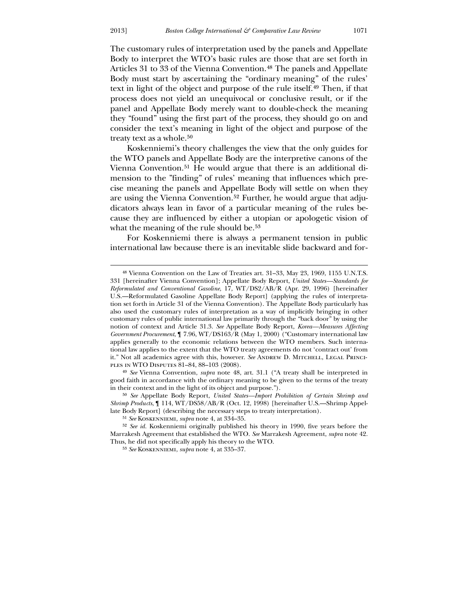<u>.</u>

The customary rules of interpretation used by the panels and Appellate Body to interpret the WTO's basic rules are those that are set forth in Articles 31 to 33 of the Vienna Convention.<sup>[48](#page-9-0)</sup> The panels and Appellate Body must start by ascertaining the "ordinary meaning" of the rules' text in light of the object and purpose of the rule itself.[49](#page-9-1) Then, if that process does not yield an unequivocal or conclusive result, or if the panel and Appellate Body merely want to double-check the meaning they "found" using the first part of the process, they should go on and consider the text's meaning in light of the object and purpose of the treaty text as a whole.<sup>[50](#page-9-2)</sup>

 Koskenniemi's theory challenges the view that the only guides for the WTO panels and Appellate Body are the interpretive canons of the Vienna Convention.[51](#page-9-3) He would argue that there is an additional dimension to the "finding" of rules' meaning that influences which precise meaning the panels and Appellate Body will settle on when they are using the Vienna Convention.<sup>[52](#page-9-4)</sup> Further, he would argue that adjudicators always lean in favor of a particular meaning of the rules because they are influenced by either a utopian or apologetic vision of what the meaning of the rule should be.<sup>[53](#page-9-5)</sup>

 For Koskenniemi there is always a permanent tension in public international law because there is an inevitable slide backward and for-

<span id="page-9-0"></span>49 *See* Vienna Convention, *supra* note 48, art. 31.1 ("A treaty shall be interpreted in good faith in accordance with the ordinary meaning to be given to the terms of the treaty in their context and in the light of its object and purpose.").

50 *See* Appellate Body Report, *United States—Import Prohibition of Certain Shrimp and Shrimp Products*, ¶ 114, WT/DS58/AB/R (Oct. 12, 1998) [hereinafter U.S.—Shrimp Appellate Body Report] (describing the necessary steps to treaty interpretation).

<sup>48</sup> Vienna Convention on the Law of Treaties art. 31–33, May 23, 1969, 1155 U.N.T.S. 331 [hereinafter Vienna Convention]; Appellate Body Report, *United States—Standards for Reformulated and Conventional Gasoline*, 17, WT/DS2/AB/R (Apr. 29, 1996) [hereinafter U.S.—Reformulated Gasoline Appellate Body Report] (applying the rules of interpretation set forth in Article 31 of the Vienna Convention). The Appellate Body particularly has also used the customary rules of interpretation as a way of implicitly bringing in other customary rules of public international law primarily through the "back door" by using the notion of context and Article 31.3. *See* Appellate Body Report, *Korea—Measures Affecting Government Procurement*, ¶ 7.96, WT/DS163/R (May 1, 2000) ("Customary international law applies generally to the economic relations between the WTO members. Such international law applies to the extent that the WTO treaty agreements do not 'contract out' from it." Not all academics agree with this, however. See ANDREW D. MITCHELL, LEGAL PRINCIples in WTO Disputes 81–84, 88–103 (2008).

<sup>51</sup> *See* Koskenniemi, *supra* note 4, at 334–35.

<span id="page-9-1"></span><sup>52</sup> *See id.* Koskenniemi originally published his theory in 1990, five years before the Marrakesh Agreement that established the WTO. *See* Marrakesh Agreement, *supra* note 42. Thus, he did not specifically apply his theory to the WTO.

<span id="page-9-5"></span><span id="page-9-4"></span><span id="page-9-3"></span><span id="page-9-2"></span><sup>53</sup> *See* Koskenniemi, *supra* note 4, at 335–37.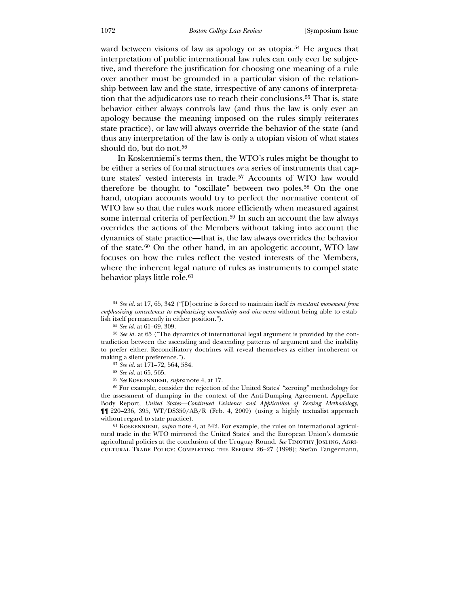ward between visions of law as apology or as utopia.<sup>[54](#page-10-0)</sup> He argues that interpretation of public international law rules can only ever be subjective, and therefore the justification for choosing one meaning of a rule over another must be grounded in a particular vision of the relationship between law and the state, irrespective of any canons of interpretation that the adjudicators use to reach their conclusions.[55](#page-10-1) That is, state behavior either always controls law (and thus the law is only ever an apology because the meaning imposed on the rules simply reiterates state practice), or law will always override the behavior of the state (and thus any interpretation of the law is only a utopian vision of what states should do, but do not.<sup>[56](#page-10-2)</sup>

 In Koskenniemi's terms then, the WTO's rules might be thought to be either a series of formal structures *or* a series of instruments that capture states' vested interests in trade.[57](#page-10-3) Accounts of WTO law would therefore be thought to "oscillate" between two poles.[58](#page-10-4) On the one hand, utopian accounts would try to perfect the normative content of WTO law so that the rules work more efficiently when measured against some internal criteria of perfection.<sup>[59](#page-10-5)</sup> In such an account the law always overrides the actions of the Members without taking into account the dynamics of state practice—that is, the law always overrides the behavior of the state.[60](#page-10-6) On the other hand, in an apologetic account, WTO law focuses on how the rules reflect the vested interests of the Members, where the inherent legal nature of rules as instruments to compel state behavior plays little role.<sup>[61](#page-10-7)</sup>

 $\overline{a}$ 

60 For example, consider the rejection of the United States' "zeroing" methodology for the assessment of dumping in the context of the Anti-Dumping Agreement. Appellate Body Report, *United States—Continued Existence and Application of Zeroing Methodology*, ¶¶ 220–236, 395, WT/DS350/AB/R (Feb. 4, 2009) (using a highly textualist approach without regard to state practice).

<span id="page-10-7"></span><span id="page-10-6"></span><span id="page-10-5"></span><span id="page-10-4"></span><span id="page-10-3"></span><span id="page-10-2"></span><span id="page-10-1"></span><span id="page-10-0"></span>61 Koskenniemi, *supra* note 4, at 342. For example, the rules on international agricultural trade in the WTO mirrored the United States' and the European Union's domestic agricultural policies at the conclusion of the Uruguay Round. See TIMOTHY JOSLING, AGRIcultural Trade Policy: Completing the Reform 26–27 (1998); Stefan Tangermann,

<sup>54</sup> *See id.* at 17, 65, 342 ("[D]octrine is forced to maintain itself *in constant movement from emphasizing concreteness to emphasizing normativity and vice-versa* without being able to establish itself permanently in either position.").

<sup>55</sup> *See id.* at 61–69, 309.

<sup>56</sup> *See id.* at 65 ("The dynamics of international legal argument is provided by the contradiction between the ascending and descending patterns of argument and the inability to prefer either. Reconciliatory doctrines will reveal themselves as either incoherent or making a silent preference.").

<sup>57</sup> *See id.* at 171–72, 564, 584.

<sup>58</sup> *See id.* at 65, 565.

<sup>59</sup> *See* Koskenniemi, *supra* note 4, at 17.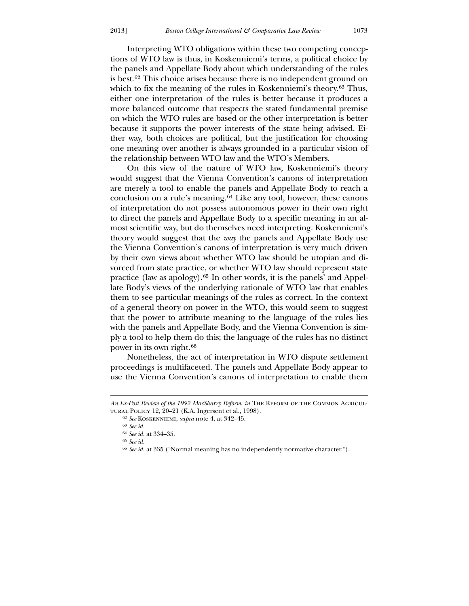Interpreting WTO obligations within these two competing conceptions of WTO law is thus, in Koskenniemi's terms, a political choice by the panels and Appellate Body about which understanding of the rules is best.[62](#page-11-0) This choice arises because there is no independent ground on which to fix the meaning of the rules in Koskenniemi's theory.<sup>[63](#page-11-1)</sup> Thus, either one interpretation of the rules is better because it produces a more balanced outcome that respects the stated fundamental premise on which the WTO rules are based or the other interpretation is better because it supports the power interests of the state being advised. Either way, both choices are political, but the justification for choosing one meaning over another is always grounded in a particular vision of the relationship between WTO law and the WTO's Members.

 On this view of the nature of WTO law, Koskenniemi's theory would suggest that the Vienna Convention's canons of interpretation are merely a tool to enable the panels and Appellate Body to reach a conclusion on a rule's meaning.[64](#page-11-2) Like any tool, however, these canons of interpretation do not possess autonomous power in their own right to direct the panels and Appellate Body to a specific meaning in an almost scientific way, but do themselves need interpreting. Koskenniemi's theory would suggest that the *way* the panels and Appellate Body use the Vienna Convention's canons of interpretation is very much driven by their own views about whether WTO law should be utopian and divorced from state practice, or whether WTO law should represent state practice (law as apology).[65](#page-11-3) In other words, it is the panels' and Appellate Body's views of the underlying rationale of WTO law that enables them to see particular meanings of the rules as correct. In the context of a general theory on power in the WTO, this would seem to suggest that the power to attribute meaning to the language of the rules lies with the panels and Appellate Body, and the Vienna Convention is simply a tool to help them do this; the language of the rules has no distinct power in its own right.[66](#page-11-4)

 Nonetheless, the act of interpretation in WTO dispute settlement proceedings is multifaceted. The panels and Appellate Body appear to use the Vienna Convention's canons of interpretation to enable them

-

*An Ex-Post Review of the 1992 MacSharry Reform*, *in* The Reform of the Common Agricultural Policy 12, 20–21 (K.A. Ingersent et al., 1998).

<sup>62</sup> *See* Koskenniemi, *supra* note 4, at 342–45.

<sup>63</sup> *See id.*

<sup>64</sup> *See id.* at 334–35.

<sup>65</sup> *See id.*

<span id="page-11-4"></span><span id="page-11-3"></span><span id="page-11-2"></span><span id="page-11-1"></span><span id="page-11-0"></span><sup>66</sup> *See id.* at 335 ("Normal meaning has no independently normative character.").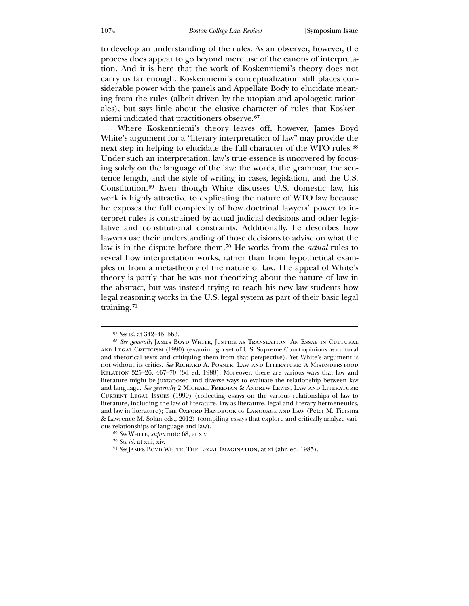to develop an understanding of the rules. As an observer, however, the process does appear to go beyond mere use of the canons of interpretation. And it is here that the work of Koskenniemi's theory does not carry us far enough. Koskenniemi's conceptualization still places considerable power with the panels and Appellate Body to elucidate meaning from the rules (albeit driven by the utopian and apologetic rationales), but says little about the elusive character of rules that Koskenniemi indicated that practitioners observe.[67](#page-12-0)

 Where Koskenniemi's theory leaves off, however, James Boyd White's argument for a "literary interpretation of law" may provide the next step in helping to elucidate the full character of the WTO rules.<sup>[68](#page-12-1)</sup> Under such an interpretation, law's true essence is uncovered by focusing solely on the language of the law: the words, the grammar, the sentence length, and the style of writing in cases, legislation, and the U.S. Constitution.[69](#page-12-2) Even though White discusses U.S. domestic law, his work is highly attractive to explicating the nature of WTO law because he exposes the full complexity of how doctrinal lawyers' power to interpret rules is constrained by actual judicial decisions and other legislative and constitutional constraints. Additionally, he describes how lawyers use their understanding of those decisions to advise on what the law is in the dispute before them.[70](#page-12-3) He works from the *actual* rules to reveal how interpretation works, rather than from hypothetical examples or from a meta-theory of the nature of law. The appeal of White's theory is partly that he was not theorizing about the nature of law in the abstract, but was instead trying to teach his new law students how legal reasoning works in the U.S. legal system as part of their basic legal training.[71](#page-12-4)

<sup>67</sup> *See id.* at 342–45, 563.

<sup>68</sup> *See generally* James Boyd White, Justice as Translation: An Essay in Cultural and Legal Criticism (1990) (examining a set of U.S. Supreme Court opinions as cultural and rhetorical texts and critiquing them from that perspective). Yet White's argument is not without its critics. *See* Richard A. Posner, Law and Literature: A Misunderstood Relation 325–26, 467–70 (3d ed. 1988). Moreover, there are various ways that law and literature might be juxtaposed and diverse ways to evaluate the relationship between law and language. *See generally* 2 Michael Freeman & Andrew Lewis, Law and Literature: Current Legal Issues (1999) (collecting essays on the various relationships of law to literature, including the law of literature, law as literature, legal and literary hermeneutics, and law in literature); The Oxford HANDBOOK OF LANGUAGE AND LAW (Peter M. Tiersma & Lawrence M. Solan eds., 2012) (compiling essays that explore and critically analyze various relationships of language and law).

<sup>69</sup> *See* White, *supra* note 68, at xiv.

<span id="page-12-0"></span><sup>70</sup> *See id.* at xiii, xiv.

<span id="page-12-4"></span><span id="page-12-3"></span><span id="page-12-2"></span><span id="page-12-1"></span><sup>71</sup> *See* James Boyd White, The Legal Imagination, at xi (abr. ed. 1985).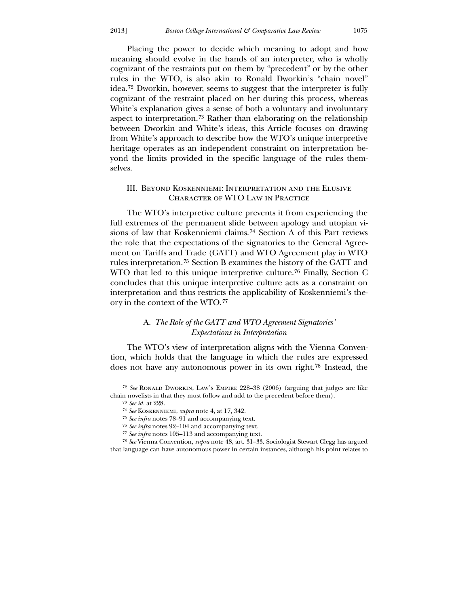Placing the power to decide which meaning to adopt and how meaning should evolve in the hands of an interpreter, who is wholly cognizant of the restraints put on them by "precedent" or by the other rules in the WTO, is also akin to Ronald Dworkin's "chain novel" idea.[72](#page-13-0) Dworkin, however, seems to suggest that the interpreter is fully cognizant of the restraint placed on her during this process, whereas White's explanation gives a sense of both a voluntary and involuntary aspect to interpretation.[73](#page-13-1) Rather than elaborating on the relationship between Dworkin and White's ideas, this Article focuses on drawing from White's approach to describe how the WTO's unique interpretive heritage operates as an independent constraint on interpretation beyond the limits provided in the specific language of the rules themselves.

## III. Beyond Koskenniemi: Interpretation and the Elusive Character of WTO Law in Practice

 The WTO's interpretive culture prevents it from experiencing the full extremes of the permanent slide between apology and utopian visions of law that Koskenniemi claims.[74](#page-13-2) Section A of this Part reviews the role that the expectations of the signatories to the General Agreement on Tariffs and Trade (GATT) and WTO Agreement play in WTO rules interpretation.[75](#page-13-3) Section B examines the history of the GATT and WTO that led to this unique interpretive culture.[76](#page-13-4) Finally, Section C concludes that this unique interpretive culture acts as a constraint on interpretation and thus restricts the applicability of Koskenniemi's theory in the context of the WTO.[77](#page-13-5)

## A. *The Role of the GATT and WTO Agreement Signatories' Expectations in Interpretation*

 The WTO's view of interpretation aligns with the Vienna Convention, which holds that the language in which the rules are expressed does not have any autonomous power in its own right.[78](#page-13-6) Instead, the

<u>.</u>

<sup>72</sup> *See* Ronald Dworkin, Law's Empire 228–38 (2006) (arguing that judges are like chain novelists in that they must follow and add to the precedent before them).

<sup>73</sup> *See id.* at 228.

<sup>74</sup> *See* Koskenniemi, *supra* note 4, at 17, 342.

<sup>75</sup> *See infra* notes 78–91 and accompanying text.

<sup>76</sup> *See infra* notes 92–104 and accompanying text.

<sup>77</sup> *See infra* notes 105–113 and accompanying text.

<span id="page-13-6"></span><span id="page-13-5"></span><span id="page-13-4"></span><span id="page-13-3"></span><span id="page-13-2"></span><span id="page-13-1"></span><span id="page-13-0"></span><sup>78</sup> *See* Vienna Convention, *supra* note 48, art. 31–33. Sociologist Stewart Clegg has argued that language can have autonomous power in certain instances, although his point relates to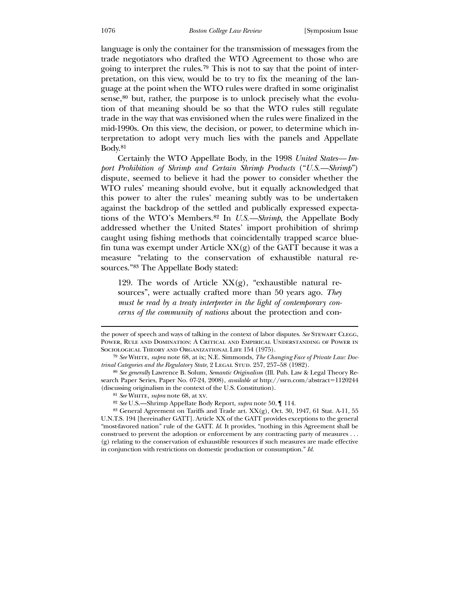language is only the container for the transmission of messages from the trade negotiators who drafted the WTO Agreement to those who are going to interpret the rules.[79](#page-14-0) This is not to say that the point of interpretation, on this view, would be to try to fix the meaning of the language at the point when the WTO rules were drafted in some originalist sense, $80$  but, rather, the purpose is to unlock precisely what the evolution of that meaning should be so that the WTO rules still regulate trade in the way that was envisioned when the rules were finalized in the mid-1990s. On this view, the decision, or power, to determine which interpretation to adopt very much lies with the panels and Appellate Body.[81](#page-14-2)

 Certainly the WTO Appellate Body, in the 1998 *United States— Import Prohibition of Shrimp and Certain Shrimp Products* ("*U.S.—Shrimp*") dispute, seemed to believe it had the power to consider whether the WTO rules' meaning should evolve, but it equally acknowledged that this power to alter the rules' meaning subtly was to be undertaken against the backdrop of the settled and publically expressed expectations of the WTO's Members.[82](#page-14-3) In *U.S.—Shrimp*, the Appellate Body addressed whether the United States' import prohibition of shrimp caught using fishing methods that coincidentally trapped scarce bluefin tuna was exempt under Article  $XX(g)$  of the GATT because it was a measure "relating to the conservation of exhaustible natural resources."[83](#page-14-4) The Appellate Body stated:

129. The words of Article  $XX(g)$ , "exhaustible natural resources", were actually crafted more than 50 years ago. *They must be read by a treaty interpreter in the light of contemporary concerns of the community of nations* about the protection and con-

the power of speech and ways of talking in the context of labor disputes. *See* Stewart Clegg, Power, Rule and Domination: A Critical and Empirical Understanding of Power in SOCIOLOGICAL THEORY AND ORGANIZATIONAL LIFE 154 (1975).

<sup>79</sup> *See* White, *supra* note 68, at ix; N.E. Simmonds, *The Changing Face of Private Law: Doctrinal Categories and the Regulatory State, 2 LEGAL STUD. 257, 257–58 (1982).* 

<sup>80</sup> *See generally* Lawrence B. Solum, *Semantic Originalism* (Ill. Pub. Law & Legal Theory Research Paper Series, Paper No. 07-24, 2008), *available at* http://ssrn.com/abstract=1120244 (discussing originalism in the context of the U.S. Constitution).

<sup>81</sup> *See* White, *supra* note 68, at xv.

<sup>82</sup> *See* U.S.—Shrimp Appellate Body Report, *supra* note 50, ¶ 114.

<span id="page-14-4"></span><span id="page-14-3"></span><span id="page-14-2"></span><span id="page-14-1"></span><span id="page-14-0"></span><sup>83</sup> General Agreement on Tariffs and Trade art. XX(g), Oct. 30, 1947, 61 Stat. A-11, 55 U.N.T.S. 194 [hereinafter GATT]. Article XX of the GATT provides exceptions to the general "most-favored nation" rule of the GATT. *Id.* It provides, "nothing in this Agreement shall be construed to prevent the adoption or enforcement by any contracting party of measures . . . (g) relating to the conservation of exhaustible resources if such measures are made effective in conjunction with restrictions on domestic production or consumption." *Id.*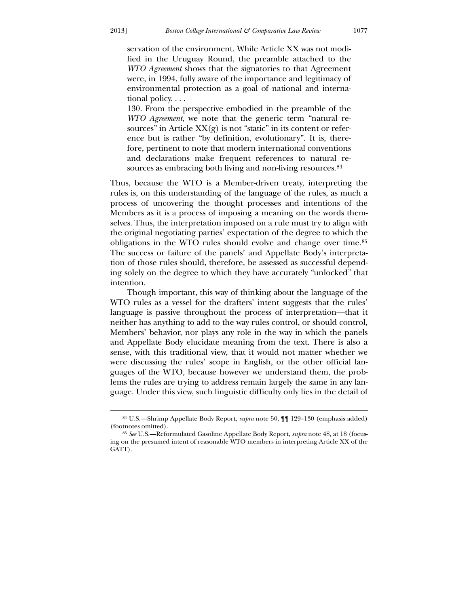<u>.</u>

servation of the environment. While Article XX was not modified in the Uruguay Round, the preamble attached to the *WTO Agreement* shows that the signatories to that Agreement were, in 1994, fully aware of the importance and legitimacy of environmental protection as a goal of national and international policy. . . .

130. From the perspective embodied in the preamble of the *WTO Agreement*, we note that the generic term "natural resources" in Article  $XX(g)$  is not "static" in its content or reference but is rather "by definition, evolutionary". It is, therefore, pertinent to note that modern international conventions and declarations make frequent references to natural re-sources as embracing both living and non-living resources.<sup>[84](#page-15-0)</sup>

Thus, because the WTO is a Member-driven treaty, interpreting the rules is, on this understanding of the language of the rules, as much a process of uncovering the thought processes and intentions of the Members as it is a process of imposing a meaning on the words themselves. Thus, the interpretation imposed on a rule must try to align with the original negotiating parties' expectation of the degree to which the obligations in the WTO rules should evolve and change over time.[85](#page-15-1) The success or failure of the panels' and Appellate Body's interpretation of those rules should, therefore, be assessed as successful depending solely on the degree to which they have accurately "unlocked" that intention.

 Though important, this way of thinking about the language of the WTO rules as a vessel for the drafters' intent suggests that the rules' language is passive throughout the process of interpretation—that it neither has anything to add to the way rules control, or should control, Members' behavior, nor plays any role in the way in which the panels and Appellate Body elucidate meaning from the text. There is also a sense, with this traditional view, that it would not matter whether we were discussing the rules' scope in English, or the other official languages of the WTO, because however we understand them, the problems the rules are trying to address remain largely the same in any language. Under this view, such linguistic difficulty only lies in the detail of

<sup>84</sup> U.S.—Shrimp Appellate Body Report, *supra* note 50, ¶¶ 129–130 (emphasis added) (footnotes omitted).

<span id="page-15-1"></span><span id="page-15-0"></span><sup>85</sup> *See* U.S.—Reformulated Gasoline Appellate Body Report, *supra* note 48, at 18 (focusing on the presumed intent of reasonable WTO members in interpreting Article XX of the GATT).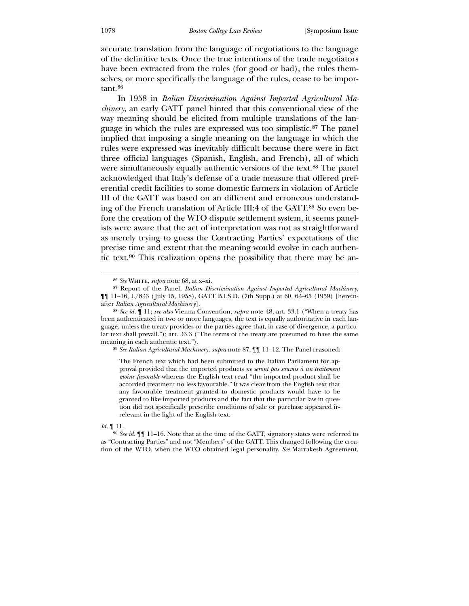accurate translation from the language of negotiations to the language of the definitive texts. Once the true intentions of the trade negotiators have been extracted from the rules (for good or bad), the rules themselves, or more specifically the language of the rules, cease to be impor-tant.<sup>[86](#page-16-0)</sup>

 In 1958 in *Italian Discrimination Against Imported Agricultural Machinery*, an early GATT panel hinted that this conventional view of the way meaning should be elicited from multiple translations of the language in which the rules are expressed was too simplistic.[87](#page-16-1) The panel implied that imposing a single meaning on the language in which the rules were expressed was inevitably difficult because there were in fact three official languages (Spanish, English, and French), all of which were simultaneously equally authentic versions of the text.<sup>[88](#page-16-2)</sup> The panel acknowledged that Italy's defense of a trade measure that offered preferential credit facilities to some domestic farmers in violation of Article III of the GATT was based on an different and erroneous understanding of the French translation of Article III:4 of the GATT.[89](#page-16-3) So even before the creation of the WTO dispute settlement system, it seems panelists were aware that the act of interpretation was not as straightforward as merely trying to guess the Contracting Parties' expectations of the precise time and extent that the meaning would evolve in each authentic text.[90](#page-16-4) This realization opens the possibility that there may be an-

89 *See Italian Agricultural Machinery*, *supra* note 87, ¶¶ 11–12. The Panel reasoned:

The French text which had been submitted to the Italian Parliament for approval provided that the imported products *ne seront pas soumis à un traitement moins favorable* whereas the English text read "the imported product shall be accorded treatment no less favourable." It was clear from the English text that any favourable treatment granted to domestic products would have to be granted to like imported products and the fact that the particular law in question did not specifically prescribe conditions of sale or purchase appeared irrelevant in the light of the English text.

<span id="page-16-2"></span><span id="page-16-1"></span><span id="page-16-0"></span>*Id.* ¶ 11.

<sup>86</sup> *See* White, *supra* note 68, at x–xi.

<sup>87</sup> Report of the Panel, *Italian Discrimination Against Imported Agricultural Machinery*, ¶¶ 11–16, L/833 ( July 15, 1958), GATT B.I.S.D. (7th Supp.) at 60, 63–65 (1959) [hereinafter *Italian Agricultural Machinery*].

<sup>88</sup> *See id.* ¶ 11; *see also* Vienna Convention, *supra* note 48, art. 33.1 ("When a treaty has been authenticated in two or more languages, the text is equally authoritative in each language, unless the treaty provides or the parties agree that, in case of divergence, a particular text shall prevail."); art. 33.3 ("The terms of the treaty are presumed to have the same meaning in each authentic text.").

<span id="page-16-4"></span><span id="page-16-3"></span><sup>90</sup> *See id.* ¶¶ 11–16. Note that at the time of the GATT, signatory states were referred to as "Contracting Parties" and not "Members" of the GATT. This changed following the creation of the WTO, when the WTO obtained legal personality. *See* Marrakesh Agreement,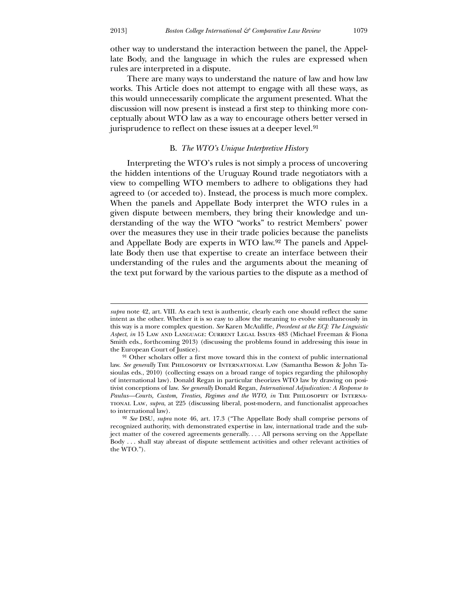$\overline{a}$ 

other way to understand the interaction between the panel, the Appellate Body, and the language in which the rules are expressed when rules are interpreted in a dispute.

 There are many ways to understand the nature of law and how law works. This Article does not attempt to engage with all these ways, as this would unnecessarily complicate the argument presented. What the discussion will now present is instead a first step to thinking more conceptually about WTO law as a way to encourage others better versed in jurisprudence to reflect on these issues at a deeper level.<sup>[91](#page-17-0)</sup>

### B. *The WTO's Unique Interpretive History*

 Interpreting the WTO's rules is not simply a process of uncovering the hidden intentions of the Uruguay Round trade negotiators with a view to compelling WTO members to adhere to obligations they had agreed to (or acceded to). Instead, the process is much more complex. When the panels and Appellate Body interpret the WTO rules in a given dispute between members, they bring their knowledge and understanding of the way the WTO "works" to restrict Members' power over the measures they use in their trade policies because the panelists and Appellate Body are experts in WTO law.[92](#page-17-1) The panels and Appellate Body then use that expertise to create an interface between their understanding of the rules and the arguments about the meaning of the text put forward by the various parties to the dispute as a method of

*supra* note 42, art. VIII. As each text is authentic, clearly each one should reflect the same intent as the other. Whether it is so easy to allow the meaning to evolve simultaneously in this way is a more complex question. *See* Karen McAuliffe, *Precedent at the ECJ: The Linguistic Aspect*, *in* 15 Law and Language: Current Legal Issues 483 (Michael Freeman & Fiona Smith eds., forthcoming 2013) (discussing the problems found in addressing this issue in the European Court of Justice).

<sup>&</sup>lt;sup>91</sup> Other scholars offer a first move toward this in the context of public international law. *See generally* The Philosophy of International Law (Samantha Besson & John Tasioulas eds., 2010) (collecting essays on a broad range of topics regarding the philosophy of international law). Donald Regan in particular theorizes WTO law by drawing on positivist conceptions of law. *See generally* Donald Regan, *International Adjudication: A Response to Paulus—Courts, Custom, Treaties, Regimes and the WTO*, *in* The Philosophy of International Law, *supra*, at 225 (discussing liberal, post-modern, and functionalist approaches to international law).

<span id="page-17-1"></span><span id="page-17-0"></span><sup>92</sup> *See* DSU, *supra* note 46, art. 17.3 ("The Appellate Body shall comprise persons of recognized authority, with demonstrated expertise in law, international trade and the subject matter of the covered agreements generally. . . . All persons serving on the Appellate Body . . . shall stay abreast of dispute settlement activities and other relevant activities of the WTO.").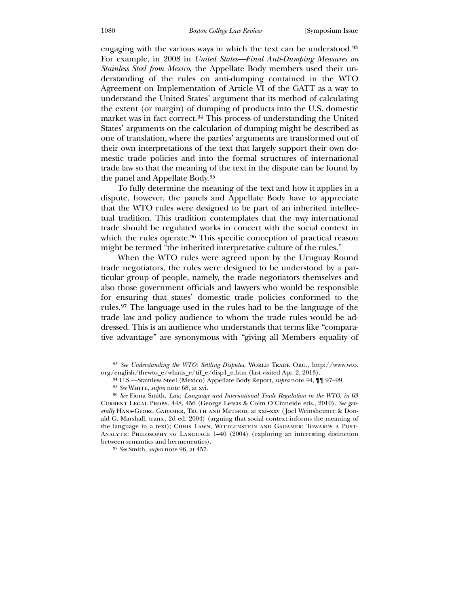engaging with the various ways in which the text can be understood.[93](#page-18-0) For example, in 2008 in *United States—Final Anti-Dumping Measures on Stainless Steel from Mexico*, the Appellate Body members used their understanding of the rules on anti-dumping contained in the WTO Agreement on Implementation of Article VI of the GATT as a way to understand the United States' argument that its method of calculating the extent (or margin) of dumping of products into the U.S. domestic market was in fact correct.[94](#page-18-1) This process of understanding the United States' arguments on the calculation of dumping might be described as one of translation, where the parties' arguments are transformed out of their own interpretations of the text that largely support their own domestic trade policies and into the formal structures of international trade law so that the meaning of the text in the dispute can be found by the panel and Appellate Body.[95](#page-18-2)

 To fully determine the meaning of the text and how it applies in a dispute, however, the panels and Appellate Body have to appreciate that the WTO rules were designed to be part of an inherited intellectual tradition. This tradition contemplates that the *way* international trade should be regulated works in concert with the social context in which the rules operate.<sup>[96](#page-18-3)</sup> This specific conception of practical reason might be termed "the inherited interpretative culture of the rules."

 When the WTO rules were agreed upon by the Uruguay Round trade negotiators, the rules were designed to be understood by a particular group of people, namely, the trade negotiators themselves and also those government officials and lawyers who would be responsible for ensuring that states' domestic trade policies conformed to the rules.[97](#page-18-4) The language used in the rules had to be the language of the trade law and policy audience to whom the trade rules would be addressed. This is an audience who understands that terms like "comparative advantage" are synonymous with "giving all Members equality of

<sup>&</sup>lt;sup>93</sup> See Understanding the WTO: Settling Disputes, WORLD TRADE ORG., http://www.wto. org/english/thewto\_e/whatis\_e/tif\_e/disp1\_e.htm (last visited Apr. 2, 2013).

<sup>94</sup> U.S.—Stainless Steel (Mexico) Appellate Body Report, *supra* note 44, ¶¶ 97–99.

<sup>95</sup> *See* White, *supra* note 68, at xvi.

<sup>96</sup> *See* Fiona Smith, *Law, Language and International Trade Regulation in the WTO*, *in* 63 Current Legal Probs. 448, 456 (George Letsas & Colm O'Cinneide eds., 2010). *See generally* Hans-Georg Gadamer, Truth and Method, at xxi–xxv ( Joel Weinsheimer & Donald G. Marshall, trans., 2d ed. 2004) (arguing that social context informs the meaning of the language in a text); CHRIS LAWN, WITTGENSTEIN AND GADAMER: TOWARDS A POST-Analytic Philosophy of Language 1–40 (2004) (exploring an interesting distinction between semantics and hermeneutics).

<span id="page-18-4"></span><span id="page-18-3"></span><span id="page-18-2"></span><span id="page-18-1"></span><span id="page-18-0"></span><sup>97</sup> *See* Smith, *supra* note 96, at 457.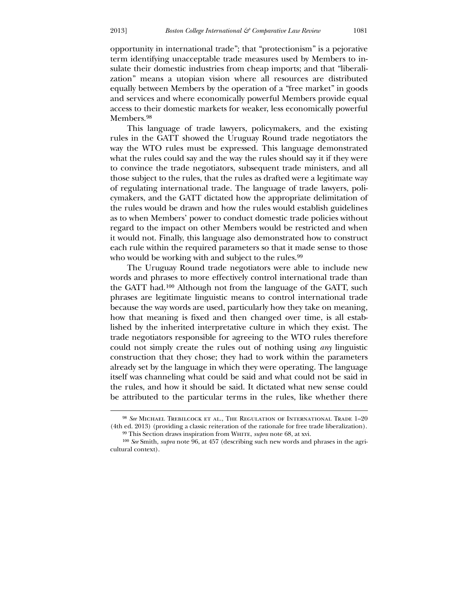opportunity in international trade"; that "protectionism" is a pejorative term identifying unacceptable trade measures used by Members to insulate their domestic industries from cheap imports; and that "liberalization" means a utopian vision where all resources are distributed equally between Members by the operation of a "free market" in goods and services and where economically powerful Members provide equal access to their domestic markets for weaker, less economically powerful Members.<sup>[98](#page-19-0)</sup>

 This language of trade lawyers, policymakers, and the existing rules in the GATT showed the Uruguay Round trade negotiators the way the WTO rules must be expressed. This language demonstrated what the rules could say and the way the rules should say it if they were to convince the trade negotiators, subsequent trade ministers, and all those subject to the rules, that the rules as drafted were a legitimate way of regulating international trade. The language of trade lawyers, policymakers, and the GATT dictated how the appropriate delimitation of the rules would be drawn and how the rules would establish guidelines as to when Members' power to conduct domestic trade policies without regard to the impact on other Members would be restricted and when it would not. Finally, this language also demonstrated how to construct each rule within the required parameters so that it made sense to those who would be working with and subject to the rules.<sup>[99](#page-19-1)</sup>

 The Uruguay Round trade negotiators were able to include new words and phrases to more effectively control international trade than the GATT had.[100](#page-19-2) Although not from the language of the GATT, such phrases are legitimate linguistic means to control international trade because the way words are used, particularly how they take on meaning, how that meaning is fixed and then changed over time, is all established by the inherited interpretative culture in which they exist. The trade negotiators responsible for agreeing to the WTO rules therefore could not simply create the rules out of nothing using *any* linguistic construction that they chose; they had to work within the parameters already set by the language in which they were operating. The language itself was channeling what could be said and what could not be said in the rules, and how it should be said. It dictated what new sense could be attributed to the particular terms in the rules, like whether there

<sup>98</sup> *See* Michael Trebilcock et al., The Regulation of International Trade 1–20 (4th ed. 2013) (providing a classic reiteration of the rationale for free trade liberalization).

<sup>&</sup>lt;sup>99</sup> This Section draws inspiration from WHITE, *supra* note 68, at xvi. 100 *See* Smith, *supra* note 96, at 457 (describing such new words and phrases in the agri-

<span id="page-19-2"></span><span id="page-19-1"></span><span id="page-19-0"></span>cultural context).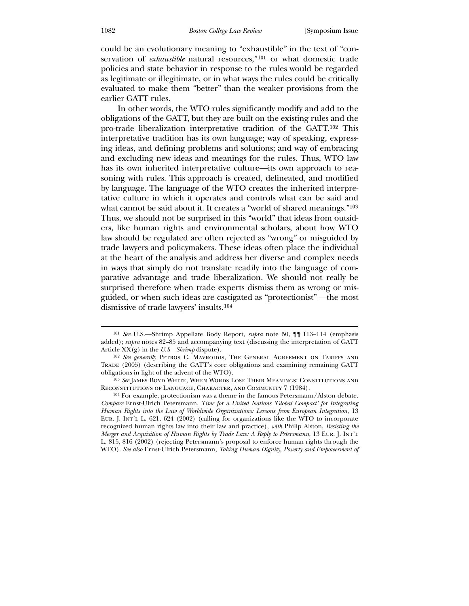could be an evolutionary meaning to "exhaustible" in the text of "conservation of *exhaustible* natural resources,"<sup>[101](#page-20-0)</sup> or what domestic trade policies and state behavior in response to the rules would be regarded as legitimate or illegitimate, or in what ways the rules could be critically evaluated to make them "better" than the weaker provisions from the earlier GATT rules.

 In other words, the WTO rules significantly modify and add to the obligations of the GATT, but they are built on the existing rules and the pro-trade liberalization interpretative tradition of the GATT.[102](#page-20-1) This interpretative tradition has its own language; way of speaking, expressing ideas, and defining problems and solutions; and way of embracing and excluding new ideas and meanings for the rules. Thus, WTO law has its own inherited interpretative culture—its own approach to reasoning with rules. This approach is created, delineated, and modified by language. The language of the WTO creates the inherited interpretative culture in which it operates and controls what can be said and what cannot be said about it. It creates a "world of shared meanings."<sup>[103](#page-20-2)</sup> Thus, we should not be surprised in this "world" that ideas from outsiders, like human rights and environmental scholars, about how WTO law should be regulated are often rejected as "wrong" or misguided by trade lawyers and policymakers. These ideas often place the individual at the heart of the analysis and address her diverse and complex needs in ways that simply do not translate readily into the language of comparative advantage and trade liberalization. We should not really be surprised therefore when trade experts dismiss them as wrong or misguided, or when such ideas are castigated as "protectionist" *—*the most dismissive of trade lawyers' insults.[104](#page-20-3)

<sup>101</sup> *See* U.S.—Shrimp Appellate Body Report, *supra* note 50, ¶¶ 113–114 (emphasis added); *supra* notes 82–85 and accompanying text (discussing the interpretation of GATT Article XX(g) in the *U.S—Shrimp* dispute).

<sup>&</sup>lt;sup>102</sup> See generally PETROS C. MAVROIDIS, THE GENERAL AGREEMENT ON TARIFFS AND Trade (2005) (describing the GATT's core obligations and examining remaining GATT obligations in light of the advent of the WTO).

<sup>103</sup> *See* James Boyd White, When Words Lose Their Meanings: Constitutions and Reconstitutions of Language, Character, and Community 7 (1984).

<span id="page-20-3"></span><span id="page-20-2"></span><span id="page-20-1"></span><span id="page-20-0"></span><sup>104</sup> For example, protectionism was a theme in the famous Petersmann/Alston debate. *Compare* Ernst-Ulrich Petersmann, *Time for a United Nations 'Global Compact' for Integrating Human Rights into the Law of Worldwide Organizations: Lessons from European Integration*, 13 Eur. J. Int'l L. 621, 624 (2002) (calling for organizations like the WTO to incorporate recognized human rights law into their law and practice), *with* Philip Alston, *Resisting the Merger and Acquisition of Human Rights by Trade Law: A Reply to Petersmann*, 13 Eur. J. Int'l L. 815, 816 (2002) (rejecting Petersmann's proposal to enforce human rights through the WTO). *See also* Ernst-Ulrich Petersmann, *Taking Human Dignity, Poverty and Empowerment of*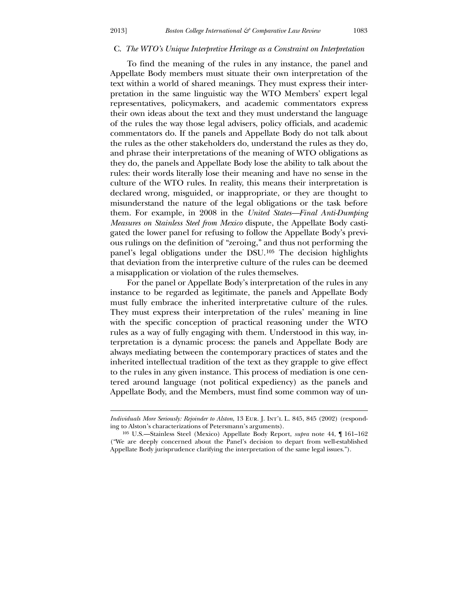<u>.</u>

#### C. *The WTO's Unique Interpretive Heritage as a Constraint on Interpretation*

 To find the meaning of the rules in any instance, the panel and Appellate Body members must situate their own interpretation of the text within a world of shared meanings. They must express their interpretation in the same linguistic way the WTO Members' expert legal representatives, policymakers, and academic commentators express their own ideas about the text and they must understand the language of the rules the way those legal advisers, policy officials, and academic commentators do. If the panels and Appellate Body do not talk about the rules as the other stakeholders do, understand the rules as they do, and phrase their interpretations of the meaning of WTO obligations as they do, the panels and Appellate Body lose the ability to talk about the rules: their words literally lose their meaning and have no sense in the culture of the WTO rules. In reality, this means their interpretation is declared wrong, misguided, or inappropriate, or they are thought to misunderstand the nature of the legal obligations or the task before them. For example, in 2008 in the *United States—Final Anti-Dumping Measures on Stainless Steel from Mexico* dispute, the Appellate Body castigated the lower panel for refusing to follow the Appellate Body's previous rulings on the definition of "zeroing," and thus not performing the panel's legal obligations under the DSU.[105](#page-21-0) The decision highlights that deviation from the interpretive culture of the rules can be deemed a misapplication or violation of the rules themselves.

 For the panel or Appellate Body's interpretation of the rules in any instance to be regarded as legitimate, the panels and Appellate Body must fully embrace the inherited interpretative culture of the rules. They must express their interpretation of the rules' meaning in line with the specific conception of practical reasoning under the WTO rules as a way of fully engaging with them. Understood in this way, interpretation is a dynamic process: the panels and Appellate Body are always mediating between the contemporary practices of states and the inherited intellectual tradition of the text as they grapple to give effect to the rules in any given instance. This process of mediation is one centered around language (not political expediency) as the panels and Appellate Body, and the Members, must find some common way of un-

*Individuals More Seriously: Rejoinder to Alston*, 13 Eur. J. Int'l L. 845, 845 (2002) (responding to Alston's characterizations of Petersmann's arguments).

<span id="page-21-0"></span><sup>105</sup> U.S.—Stainless Steel (Mexico) Appellate Body Report, *supra* note 44, ¶ 161–162 ("We are deeply concerned about the Panel's decision to depart from well-established Appellate Body jurisprudence clarifying the interpretation of the same legal issues.").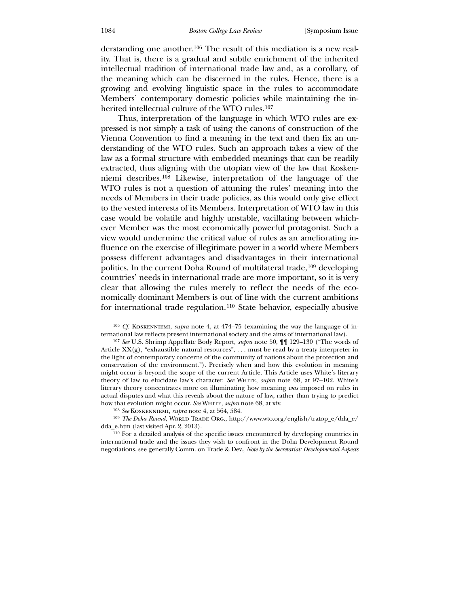derstanding one another.[106](#page-22-0) The result of this mediation is a new reality. That is, there is a gradual and subtle enrichment of the inherited intellectual tradition of international trade law and, as a corollary, of the meaning which can be discerned in the rules. Hence, there is a growing and evolving linguistic space in the rules to accommodate Members' contemporary domestic policies while maintaining the inherited intellectual culture of the WTO rules.[107](#page-22-1)

 Thus, interpretation of the language in which WTO rules are expressed is not simply a task of using the canons of construction of the Vienna Convention to find a meaning in the text and then fix an understanding of the WTO rules. Such an approach takes a view of the law as a formal structure with embedded meanings that can be readily extracted, thus aligning with the utopian view of the law that Koskenniemi describes.[108](#page-22-2) Likewise, interpretation of the language of the WTO rules is not a question of attuning the rules' meaning into the needs of Members in their trade policies, as this would only give effect to the vested interests of its Members. Interpretation of WTO law in this case would be volatile and highly unstable, vacillating between whichever Member was the most economically powerful protagonist. Such a view would undermine the critical value of rules as an ameliorating influence on the exercise of illegitimate power in a world where Members possess different advantages and disadvantages in their international politics. In the current Doha Round of multilateral trade,<sup>[109](#page-22-3)</sup> developing countries' needs in international trade are more important, so it is very clear that allowing the rules merely to reflect the needs of the economically dominant Members is out of line with the current ambitions for international trade regulation.[110](#page-22-4) State behavior, especially abusive

<sup>&</sup>lt;sup>106</sup> *Cf.* KOSKENNIEMI, *supra* note 4, at 474–75 (examining the way the language of international law reflects present international society and the aims of international law).

<sup>107</sup> *See* U.S. Shrimp Appellate Body Report, *supra* note 50, ¶¶ 129–130 ("The words of Article  $XX(g)$ , "exhaustible natural resources", ... must be read by a treaty interpreter in the light of contemporary concerns of the community of nations about the protection and conservation of the environment."). Precisely when and how this evolution in meaning might occur is beyond the scope of the current Article. This Article uses White's literary theory of law to elucidate law's character. *See* WHITE, *supra* note 68, at 97-102. White's literary theory concentrates more on illuminating how meaning *was* imposed on rules in actual disputes and what this reveals about the nature of law, rather than trying to predict how that evolution might occur. *See* WHITE, *supra* note 68, at xiv.

<sup>108</sup> *See* Koskenniemi, *supra* note 4, at 564, 584.

<sup>&</sup>lt;sup>109</sup> *The Doha Round*, WORLD TRADE ORG., http://www.wto.org/english/tratop\_e/dda\_e/ dda\_e.htm (last visited Apr. 2, 2013).

<span id="page-22-4"></span><span id="page-22-3"></span><span id="page-22-2"></span><span id="page-22-1"></span><span id="page-22-0"></span><sup>110</sup> For a detailed analysis of the specific issues encountered by developing countries in international trade and the issues they wish to confront in the Doha Development Round negotiations, see generally Comm. on Trade & Dev., *Note by the Secretariat: Developmental Aspects*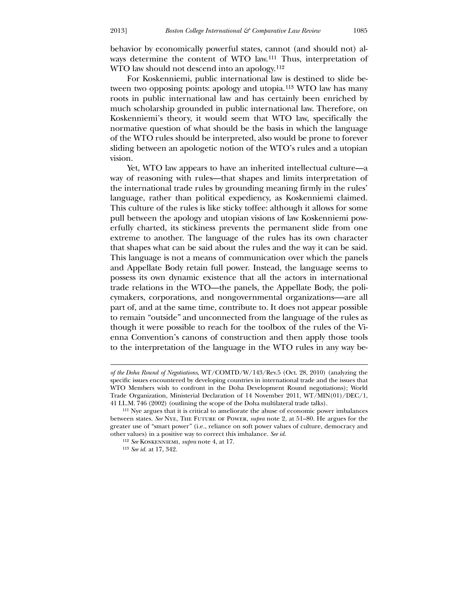behavior by economically powerful states, cannot (and should not) always determine the content of WTO law.[111](#page-23-0) Thus, interpretation of WTO law should not descend into an apology.<sup>[112](#page-23-1)</sup>

 For Koskenniemi, public international law is destined to slide between two opposing points: apology and utopia.[113](#page-23-2) WTO law has many roots in public international law and has certainly been enriched by much scholarship grounded in public international law. Therefore, on Koskenniemi's theory, it would seem that WTO law, specifically the normative question of what should be the basis in which the language of the WTO rules should be interpreted, also would be prone to forever sliding between an apologetic notion of the WTO's rules and a utopian vision.

 Yet, WTO law appears to have an inherited intellectual culture—a way of reasoning with rules—that shapes and limits interpretation of the international trade rules by grounding meaning firmly in the rules' language, rather than political expediency, as Koskenniemi claimed. This culture of the rules is like sticky toffee: although it allows for some pull between the apology and utopian visions of law Koskenniemi powerfully charted, its stickiness prevents the permanent slide from one extreme to another. The language of the rules has its own character that shapes what can be said about the rules and the way it can be said. This language is not a means of communication over which the panels and Appellate Body retain full power. Instead, the language seems to possess its own dynamic existence that all the actors in international trade relations in the WTO—the panels, the Appellate Body, the policymakers, corporations, and nongovernmental organizations-—are all part of, and at the same time, contribute to. It does not appear possible to remain "outside" and unconnected from the language of the rules as though it were possible to reach for the toolbox of the rules of the Vienna Convention's canons of construction and then apply those tools to the interpretation of the language in the WTO rules in any way be-

<u>.</u>

*of the Doha Round of Negotiations*, WT/COMTD/W/143/Rev.5 (Oct. 28, 2010) (analyzing the specific issues encountered by developing countries in international trade and the issues that WTO Members wish to confront in the Doha Development Round negotiations); World Trade Organization, Ministerial Declaration of 14 November 2011, WT/MIN(01)/DEC/1, 41 I.L.M. 746 (2002) (outlining the scope of the Doha multilateral trade talks).

<sup>111</sup> Nye argues that it is critical to ameliorate the abuse of economic power imbalances between states. *See* Nye, The Future of Power, *supra* note 2, at 51–80. He argues for the greater use of "smart power" (i.e., reliance on soft power values of culture, democracy and other values) in a positive way to correct this imbalance. *See id*.

<sup>112</sup> *See* Koskenniemi, *supra* note 4, at 17.

<span id="page-23-2"></span><span id="page-23-1"></span><span id="page-23-0"></span><sup>113</sup> *See id.* at 17, 342.